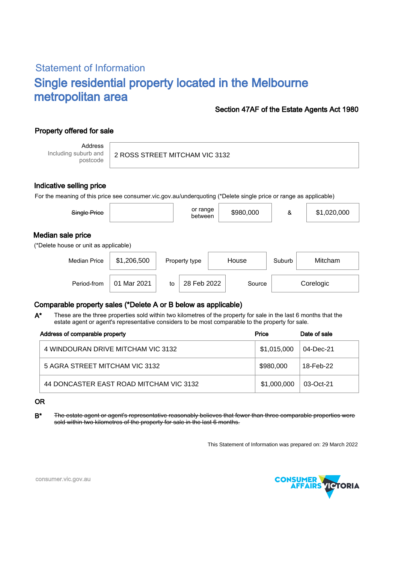# Statement of Information Single residential property located in the Melbourne metropolitan area

### Section 47AF of the Estate Agents Act 1980

## Property offered for sale

Address Including suburb and postcode

2 ROSS STREET MITCHAM VIC 3132

### Indicative selling price

For the meaning of this price see consumer.vic.gov.au/underquoting (\*Delete single price or range as applicable)

| Single Price                                               |             |    | or range<br>between |       | \$980,000 | &      | \$1,020,000 |
|------------------------------------------------------------|-------------|----|---------------------|-------|-----------|--------|-------------|
| Median sale price<br>(*Delete house or unit as applicable) |             |    |                     |       |           |        |             |
| <b>Median Price</b>                                        | \$1,206,500 |    | Property type       | House |           | Suburb | Mitcham     |
| Period-from                                                | 01 Mar 2021 | to | 28 Feb 2022         |       | Source    |        | Corelogic   |

## Comparable property sales (\*Delete A or B below as applicable)

These are the three properties sold within two kilometres of the property for sale in the last 6 months that the estate agent or agent's representative considers to be most comparable to the property for sale. A\*

| Address of comparable property          | Price       | Date of sale |
|-----------------------------------------|-------------|--------------|
| 4 WINDOURAN DRIVE MITCHAM VIC 3132      | \$1,015,000 | 04-Dec-21    |
| 5 AGRA STREET MITCHAM VIC 3132          | \$980,000   | 18-Feb-22    |
| 44 DONCASTER EAST ROAD MITCHAM VIC 3132 | \$1,000,000 | 03-Oct-21    |

#### OR

B\* The estate agent or agent's representative reasonably believes that fewer than three comparable properties were sold within two kilometres of the property for sale in the last 6 months.

This Statement of Information was prepared on: 29 March 2022



consumer.vic.gov.au